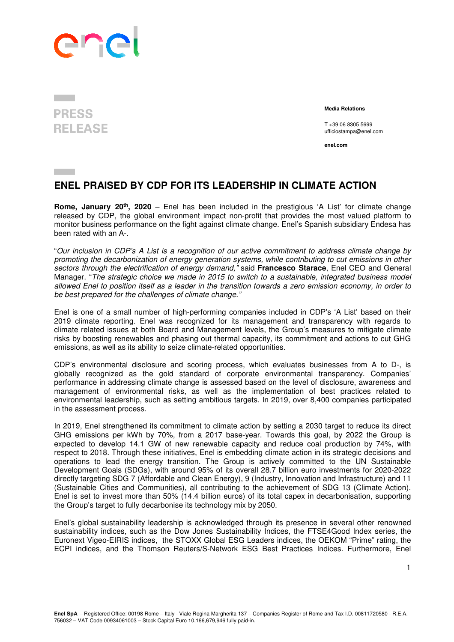

## **PRESS RELEASE**

 **Media Relations** 

T +39 06 8305 5699 ufficiostampa@enel.com

**enel.com**

## **ENEL PRAISED BY CDP FOR ITS LEADERSHIP IN CLIMATE ACTION**

**Rome, January 20th, 2020** – Enel has been included in the prestigious 'A List' for climate change released by CDP, the global environment impact non-profit that provides the most valued platform to monitor business performance on the fight against climate change. Enel's Spanish subsidiary Endesa has been rated with an A-.

"Our inclusion in CDP's A List is a recognition of our active commitment to address climate change by promoting the decarbonization of energy generation systems, while contributing to cut emissions in other sectors through the electrification of energy demand," said **Francesco Starace**, Enel CEO and General Manager. "The strategic choice we made in 2015 to switch to a sustainable, integrated business model allowed Enel to position itself as a leader in the transition towards a zero emission economy, in order to be best prepared for the challenges of climate change."

Enel is one of a small number of high-performing companies included in CDP's 'A List' based on their 2019 climate reporting. Enel was recognized for its management and transparency with regards to climate related issues at both Board and Management levels, the Group's measures to mitigate climate risks by boosting renewables and phasing out thermal capacity, its commitment and actions to cut GHG emissions, as well as its ability to seize climate-related opportunities.

CDP's environmental disclosure and scoring process, which evaluates businesses from A to D-, is globally recognized as the gold standard of corporate environmental transparency. Companies' performance in addressing climate change is assessed based on the level of disclosure, awareness and management of environmental risks, as well as the implementation of best practices related to environmental leadership, such as setting ambitious targets. In 2019, over 8,400 companies participated in the assessment process.

In 2019, Enel strengthened its commitment to climate action by setting a 2030 target to reduce its direct GHG emissions per kWh by 70%, from a 2017 base-year. Towards this goal, by 2022 the Group is expected to develop 14.1 GW of new renewable capacity and reduce coal production by 74%, with respect to 2018. Through these initiatives, Enel is embedding climate action in its strategic decisions and operations to lead the energy transition. The Group is actively committed to the UN Sustainable Development Goals (SDGs), with around 95% of its overall 28.7 billion euro investments for 2020-2022 directly targeting SDG 7 (Affordable and Clean Energy), 9 (Industry, Innovation and Infrastructure) and 11 (Sustainable Cities and Communities), all contributing to the achievement of SDG 13 (Climate Action). Enel is set to invest more than 50% (14.4 billion euros) of its total capex in decarbonisation, supporting the Group's target to fully decarbonise its technology mix by 2050.

Enel's global sustainability leadership is acknowledged through its presence in several other renowned sustainability indices, such as the Dow Jones Sustainability Indices, the FTSE4Good Index series, the Euronext Vigeo-EIRIS indices, the STOXX Global ESG Leaders indices, the OEKOM "Prime" rating, the ECPI indices, and the Thomson Reuters/S-Network ESG Best Practices Indices. Furthermore, Enel